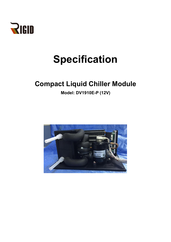

# **Specification**

# **Compact Liquid Chiller Module**

**Model: DV1910E-P (12V)**

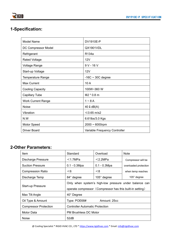## **1-Specification:**

| <b>Model Name</b>         | DV1910E-P                     |  |
|---------------------------|-------------------------------|--|
| DC Compressor Model       | QX1901VDL                     |  |
| Refrigerant               | R134a                         |  |
| <b>Rated Voltage</b>      | 12V                           |  |
| Voltage Range             | $9V - 16V$                    |  |
| Start-up Voltage          | 12V                           |  |
| Temperature Range         | $-16C \sim 30C$ degree        |  |
| <b>Max Current</b>        | 10A                           |  |
| <b>Cooling Capacity</b>   | 100W~360 W                    |  |
| <b>Capillary Tube</b>     | $\Phi$ 2 * 0.8 m              |  |
| <b>Work Current Range</b> | $1 - 8A$                      |  |
| <b>Noise</b>              | $40 \downarrow$ dB(A)         |  |
| Vibration                 | $≤0.65$ m/s2                  |  |
| N.W                       | 6.61lbs/3.0 Kgs               |  |
| Motor Speed               | $2000 \sim 6000$ rpm          |  |
| <b>Driver Board</b>       | Variable Frequency Controller |  |

### **2-Other Parameters:**

| Item                         | Standard                                                                                                            | Overload           | <b>Note</b>           |  |  |
|------------------------------|---------------------------------------------------------------------------------------------------------------------|--------------------|-----------------------|--|--|
| <b>Discharge Pressure</b>    | $<$ 1.7MPa                                                                                                          | $<$ 2.2MPa         | Compressor will be    |  |  |
| <b>Suction Pressure</b>      | $0.1 - 0.3Mpa$                                                                                                      | $0.1 - 0.3Mpa$     | overloaded protection |  |  |
| <b>Compression Ratio</b>     | $<$ 6                                                                                                               | < 8                | when temp reaches     |  |  |
| Discharge Temp               | 84° degree                                                                                                          | $105^\circ$ degree | $105^\circ$ degree    |  |  |
| Start-up Pressure            | Only when system's high-low pressure under balance can<br>operate compressor (Compressor has this built-in setting) |                    |                       |  |  |
| Max Tilt Angle               | 40° Degree                                                                                                          |                    |                       |  |  |
| Oil Type & Amount            | Type: POE68#<br>Amount: 25cc                                                                                        |                    |                       |  |  |
| <b>Compressor Protection</b> | <b>Controller Automatic Protection</b>                                                                              |                    |                       |  |  |
| Motor Data                   | PM Brushless DC Motor                                                                                               |                    |                       |  |  |
| <b>Noise</b>                 | 52dB                                                                                                                |                    |                       |  |  |

@ Cooling Specialist \* RIGID HVAC CO., LTD \* <https://www.rigidhvac.com> \* Email: [info@rigidhvac.com](mailto:info@rigidhvac.com)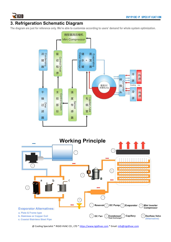

### **3. Refrigeration Schematic Diagram**

The diagram are just for reference only. We're able to customize according to users' demand for whole system optimization.





@ Cooling Specialist \* RIGID HVAC CO., LTD \* <https://www.rigidhvac.com> \* Email: [info@rigidhvac.com](mailto:info@rigidhvac.com)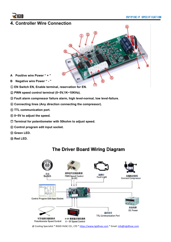

### **4. Controller Wire Connection**

- Œά
- **A Positive wire Power " + "**
- **B Negative wire Power " - "**
- ① **EN Switch EN, Enable terminal, reservation for EN.**
- ② **PWN speed control terminal (0~5V,1K~10KHz).**
- ③ **Fault alarm compressor failure alarm, high level-normal, low level-failure.**
- ④ **Connecting lines (Any direction connecting the compressor).**
- ⑤ **TTL communication port.**
- ⑥ **0~5V to adjust the speed.**
- ⑦ **Terminal for potentiometer with 50kohm to adjust speed.**
- ⑧ **Control program edit input socket.**
- ⑨ **Green LED.**
- ⑩ **Red LED.**

# The Driver Board Wiring Diagram



@ Cooling Specialist \* RIGID HVAC CO., LTD \* <https://www.rigidhvac.com> \* Email: [info@rigidhvac.com](mailto:info@rigidhvac.com)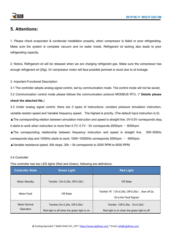### **5. Attentions:**

1. Please check evaporator & condenser installation properly, when compressor is failed or poor refrigerating. Make sure the system is complete vacuum and no water inside. Refrigerant oil lacking also leads to poor refrigerating capacity.

2. Notice, Refrigerant oil will be released when we are charging refrigerant gas. Make sure the compressor has enough refrigerant oil (25g). Or compressor motor will face possible jammed or stuck due to oil lockage.<br>3. Important Functional Description:

3.1 The controller adopts analog signal control, set by communication mode. The control mode will not be saved.

3.2 Communication control mode please follows the communication protocol MODBUS RTU. (**\* Details please**

#### **check the attached file.**)

3.3 Under analog signal control, there are 3 types of instructions: constant pressure simulation instruction, variable resistor speed and Variable frequency speed. The highest is priority. (The default input instruction is 0).

▲The corresponding relation between simulation instruction and speed is straight line. 0V-0.5V corresponds stop,

it starts to work when instruction is more than  $0.7V$ ;  $0.7V - 5V$  corresponds 2000rpm  $\sim 6000$ rpm

▲The corresponding relationship between frequency instruction and speed is straight line. 300~500Hz corresponds stop and 1000Hz starts to work; 1000~10000Hz corresponds 2000rpm  $\sim 6000$ rpm

▲Variable resistance speed, 50k stops, 30k ~ 0k corresponds to 2000 RPM to 6000 RPM

#### 3.4 Controller

This controller has two LED lights (Red and Green), following are definitions:

| <b>Controller State</b>                                                                                           | <b>Green Light</b>            | <b>Red Light</b>                                                              |  |
|-------------------------------------------------------------------------------------------------------------------|-------------------------------|-------------------------------------------------------------------------------|--|
| <b>Motor Standby</b>                                                                                              | Twinkle (On-0.25s, Off-0.25s) | Off State                                                                     |  |
| Motor Fault                                                                                                       | Off State                     | Twinkle "N" (On-0.25s, Off-0.25s), then off 2s.<br>(N is the Fault Signal)    |  |
| <b>Motor Normal</b><br>Twinkle (On-0.25s, Off-0.25s)<br>Operation<br>Red light is off when the green light is on. |                               | Twinkle (Off-0.25s, On-0.25s)<br>Red light is on when the green light is off. |  |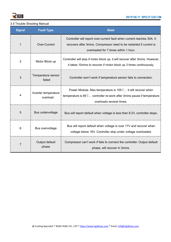

#### 3.5 Trouble Shooting Manual

| <b>Signal</b>  | <b>Fault Type</b>                | <b>State</b>                                                                                                                                                                            |  |
|----------------|----------------------------------|-----------------------------------------------------------------------------------------------------------------------------------------------------------------------------------------|--|
|                | Over-Current                     | Controller will report over-current fault when current reaches 30A. It<br>recovers after 3mins. Compressor need to be restarted if current is<br>overloaded for 7 times within 1 hour.  |  |
| $\overline{2}$ | Motor Block up                   | Controller will stop if motor block up, it will recover after 3mins. However,<br>it takes 10 mins to recover if motor block up 3 times continuously.                                    |  |
| 3              | Temperature sensor<br>failed     | Controller won't work if temperature sensor fails to connection.                                                                                                                        |  |
| 4              | Inverter temperature<br>overload | Power Module, Max temperature is $105^{\circ}$ C, it will recover when<br>temperature is $85^{\circ}$ C, controller re-work after 3mins pause if temperature<br>overloads several times |  |
| 5              | Bus undervoltage                 | Bus will report default when voltage is less than 8.2V, controller stops.                                                                                                               |  |
| 6              | Bus overvoltage                  | Bus will report default when voltage is over 17V and recover when<br>voltage below 16V. Controller stop under voltage overloaded.                                                       |  |
| $\overline{7}$ | Output default<br>phase          | Compressor can't work if fails to connect the controller. Output default<br>phase, will recover in 3mins.                                                                               |  |